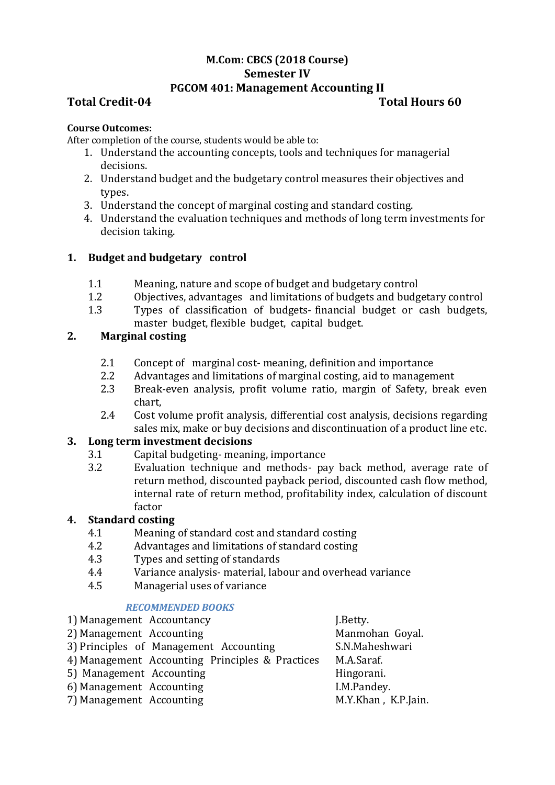## **M.Com: CBCS (2018 Course) Semester IV PGCOM 401: Management Accounting II**

# **Total Credit-04 Total Hours 60**

#### **Course Outcomes:**

After completion of the course, students would be able to:

- 1. Understand the accounting concepts, tools and techniques for managerial decisions.
- 2. Understand budget and the budgetary control measures their objectives and types.
- 3. Understand the concept of marginal costing and standard costing.
- 4. Understand the evaluation techniques and methods of long term investments for decision taking.

# **1. Budget and budgetary control**

- 1.1 Meaning, nature and scope of budget and budgetary control
- 1.2 Objectives, advantages and limitations of budgets and budgetary control
- 1.3 Types of classification of budgets- financial budget or cash budgets, master budget, flexible budget, capital budget.

# **2. Marginal costing**

- 2.1 Concept of marginal cost- meaning, definition and importance
- 2.2 Advantages and limitations of marginal costing, aid to management
- 2.3 Break-even analysis, profit volume ratio, margin of Safety, break even chart,
- 2.4 Cost volume profit analysis, differential cost analysis, decisions regarding sales mix, make or buy decisions and discontinuation of a product line etc.

### **3. Long term investment decisions**

- 3.1 Capital budgeting- meaning, importance
- 3.2 Evaluation technique and methods- pay back method, average rate of return method, discounted payback period, discounted cash flow method, internal rate of return method, profitability index, calculation of discount factor

### **4. Standard costing**

- 4.1 Meaning of standard cost and standard costing
- 4.2 Advantages and limitations of standard costing
- 4.3 Types and setting of standards
- 4.4 Variance analysis- material, labour and overhead variance
- 4.5 Managerial uses of variance

### *RECOMMENDED BOOKS*

| 1) Management Accountancy                       | J.Betty.            |
|-------------------------------------------------|---------------------|
| 2) Management Accounting                        | Manmohan Goyal.     |
| 3) Principles of Management Accounting          | S.N.Maheshwari      |
| 4) Management Accounting Principles & Practices | M.A.Saraf.          |
| 5) Management Accounting                        | Hingorani.          |
| 6) Management Accounting                        | I.M.Pandey.         |
| 7) Management Accounting                        | M.Y.Khan, K.P.Jain. |
|                                                 |                     |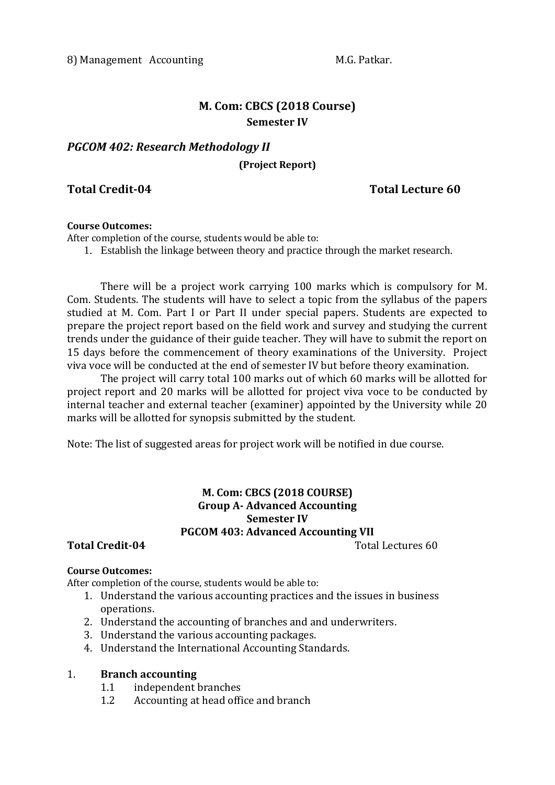# **M. Com: CBCS (2018 Course) Semester IV**

# *PGCOM 402: Research Methodology II*

**(Project Report)**

# **Total Credit-04 Total Lecture 60**

#### **Course Outcomes:**

After completion of the course, students would be able to:

1. Establish the linkage between theory and practice through the market research.

There will be a project work carrying 100 marks which is compulsory for M. Com. Students. The students will have to select a topic from the syllabus of the papers studied at M. Com. Part I or Part II under special papers. Students are expected to prepare the project report based on the field work and survey and studying the current trends under the guidance of their guide teacher. They will have to submit the report on 15 days before the commencement of theory examinations of the University. Project viva voce will be conducted at the end of semester IV but before theory examination.

The project will carry total 100 marks out of which 60 marks will be allotted for project report and 20 marks will be allotted for project viva voce to be conducted by internal teacher and external teacher (examiner) appointed by the University while 20 marks will be allotted for synopsis submitted by the student.

Note: The list of suggested areas for project work will be notified in due course.

# **M. Com: CBCS (2018 COURSE) Group A- Advanced Accounting Semester IV PGCOM 403: Advanced Accounting VII**

### **Total Credit-04** Total Lectures 60

#### **Course Outcomes:**

After completion of the course, students would be able to:

- 1. Understand the various accounting practices and the issues in business operations.
- 2. Understand the accounting of branches and and underwriters.
- 3. Understand the various accounting packages.
- 4. Understand the International Accounting Standards.

#### 1. **Branch accounting**

- 1.1 independent branches
- 1.2 Accounting at head office and branch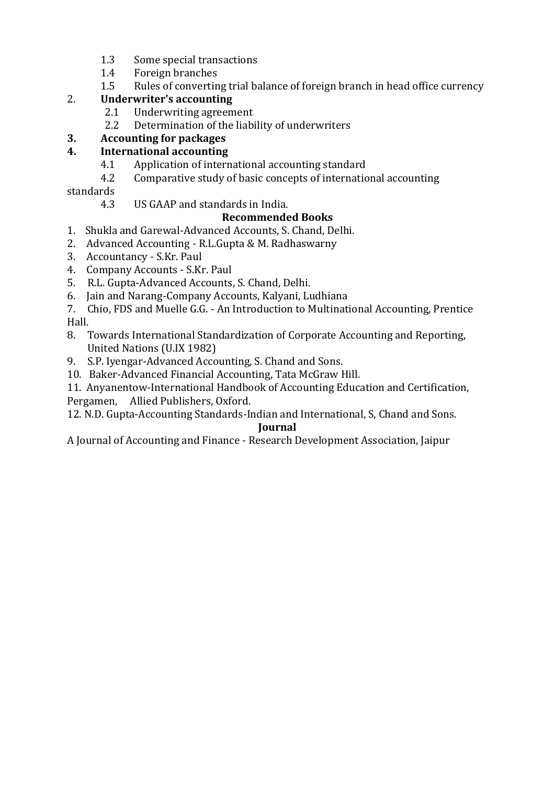- 1.3 Some special transactions
- 1.4 Foreign branches
- 1.5 Rules of converting trial balance of foreign branch in head office currency

# 2. **Underwriter's accounting**

- 2.1 Underwriting agreement
- 2.2 Determination of the liability of underwriters

# **3. Accounting for packages**

# **4. International accounting**

- 4.1 Application of international accounting standard
- 4.2 Comparative study of basic concepts of international accounting

standards

4.3 US GAAP and standards in India.

# **Recommended Books**

- 1. Shukla and Garewal-Advanced Accounts, S. Chand, Delhi.
- 2. Advanced Accounting R.L.Gupta & M. Radhaswarny
- 3. Accountancy S.Kr. Paul
- 4. Company Accounts S.Kr. Paul
- 5. R.L. Gupta-Advanced Accounts, S. Chand, Delhi.
- 6. Jain and Narang-Company Accounts, Kalyani, Ludhiana
- 7. Chio, FDS and Muelle G.G. An Introduction to Multinational Accounting, Prentice Hall.
- 8. Towards International Standardization of Corporate Accounting and Reporting, United Nations (U.IX 1982)
- 9. S.P. Iyengar-Advanced Accounting, S. Chand and Sons.
- 10. Baker-Advanced Financial Accounting, Tata McGraw Hill.

11. Anyanentow-International Handbook of Accounting Education and Certification, Pergamen, Allied Publishers, Oxford.

12. N.D. Gupta-Accounting Standards-Indian and International, S, Chand and Sons. **Journal**

A Journal of Accounting and Finance - Research Development Association, Jaipur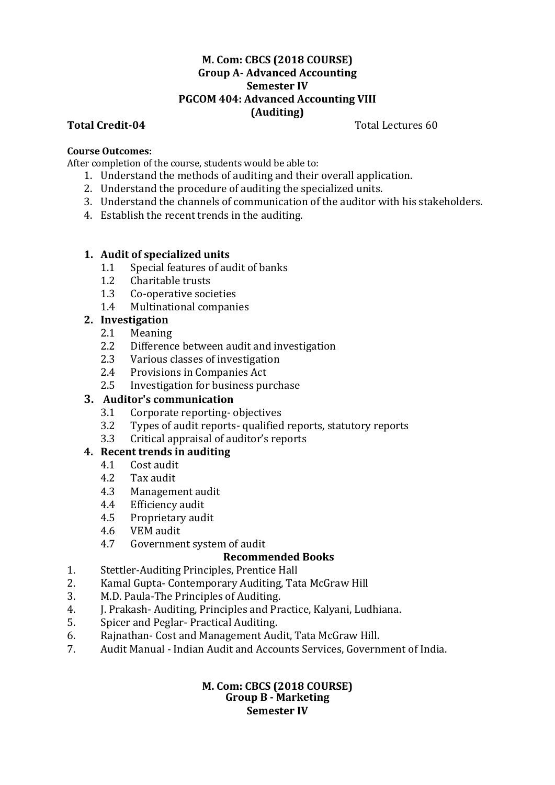### **M. Com: CBCS (2018 COURSE) Group A- Advanced Accounting Semester IV PGCOM 404: Advanced Accounting VIII (Auditing)**

**Total Credit-04** Total Lectures 60

#### **Course Outcomes:**

After completion of the course, students would be able to:

- 1. Understand the methods of auditing and their overall application.
- 2. Understand the procedure of auditing the specialized units.
- 3. Understand the channels of communication of the auditor with his stakeholders.
- 4. Establish the recent trends in the auditing.

### **1. Audit of specialized units**

- 1.1 Special features of audit of banks
- 1.2 Charitable trusts
- 1.3 Co-operative societies
- 1.4 Multinational companies

### **2. Investigation**

- 2.1 Meaning
- 2.2 Difference between audit and investigation
- 2.3 Various classes of investigation
- 2.4 Provisions in Companies Act
- 2.5 Investigation for business purchase

### **3. Auditor's communication**

- 3.1 Corporate reporting- objectives
- 3.2 Types of audit reports- qualified reports, statutory reports
- 3.3 Critical appraisal of auditor's reports

### **4. Recent trends in auditing**

- 4.1 Cost audit
- 4.2 Tax audit
- 4.3 Management audit
- 4.4 Efficiency audit
- 4.5 Proprietary audit
- 4.6 VEM audit
- 4.7 Government system of audit

# **Recommended Books**

- 1. Stettler-Auditing Principles, Prentice Hall
- 2. Kamal Gupta- Contemporary Auditing, Tata McGraw Hill
- 3. M.D. Paula-The Principles of Auditing.
- 4. J. Prakash- Auditing, Principles and Practice, Kalyani, Ludhiana.
- 5. Spicer and Peglar- Practical Auditing.
- 6. Rajnathan- Cost and Management Audit, Tata McGraw Hill.
- 7. Audit Manual Indian Audit and Accounts Services, Government of India.

#### **M. Com: CBCS (2018 COURSE) Group B - Marketing Semester IV**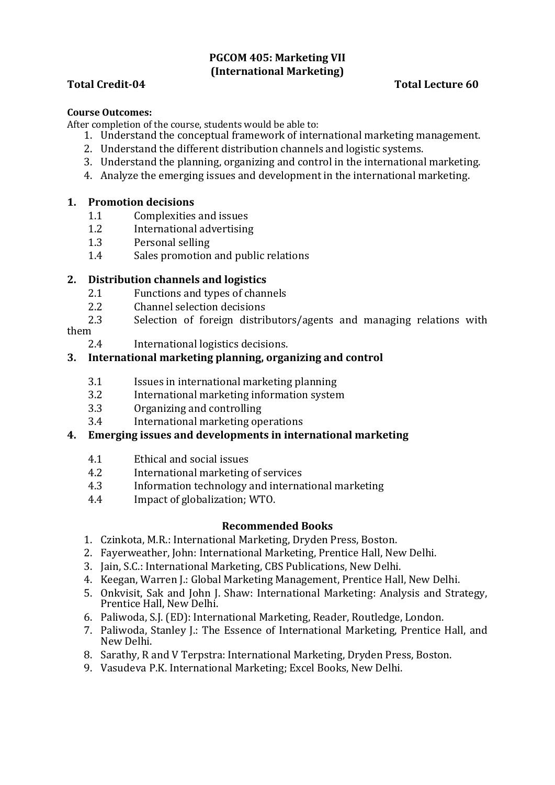# **PGCOM 405: Marketing VII (International Marketing)**

# **Total Credit-04 Total Lecture 60**

#### **Course Outcomes:**

After completion of the course, students would be able to:

- 1. Understand the conceptual framework of international marketing management.
- 2. Understand the different distribution channels and logistic systems.
- 3. Understand the planning, organizing and control in the international marketing.
- 4. Analyze the emerging issues and development in the international marketing.

## **1. Promotion decisions**

- 1.1 Complexities and issues
- 1.2 International advertising
- 1.3 Personal selling
- 1.4 Sales promotion and public relations

# **2. Distribution channels and logistics**

- 2.1 Functions and types of channels
- 2.2 Channel selection decisions
- 2.3 Selection of foreign distributors/agents and managing relations with

them

2.4 International logistics decisions.

# **3. International marketing planning, organizing and control**

- 3.1 Issues in international marketing planning
- 3.2 International marketing information system
- 3.3 Organizing and controlling
- 3.4 International marketing operations

### **4. Emerging issues and developments in international marketing**

- 4.1 Ethical and social issues
- 4.2 International marketing of services
- 4.3 Information technology and international marketing
- 4.4 Impact of globalization; WTO.

- 1. Czinkota, M.R.: International Marketing, Dryden Press, Boston.
- 2. Fayerweather, John: International Marketing, Prentice Hall, New Delhi.
- 3. Jain, S.C.: International Marketing, CBS Publications, New Delhi.
- 4. Keegan, Warren J.: Global Marketing Management, Prentice Hall, New Delhi.
- 5. Onkvisit, Sak and John J. Shaw: International Marketing: Analysis and Strategy, Prentice Hall, New Delhi.
- 6. Paliwoda, S.J. (ED): International Marketing, Reader, Routledge, London.
- 7. Paliwoda, Stanley J.: The Essence of International Marketing, Prentice Hall, and New Delhi.
- 8. Sarathy, R and V Terpstra: International Marketing, Dryden Press, Boston.
- 9. Vasudeva P.K. International Marketing; Excel Books, New Delhi.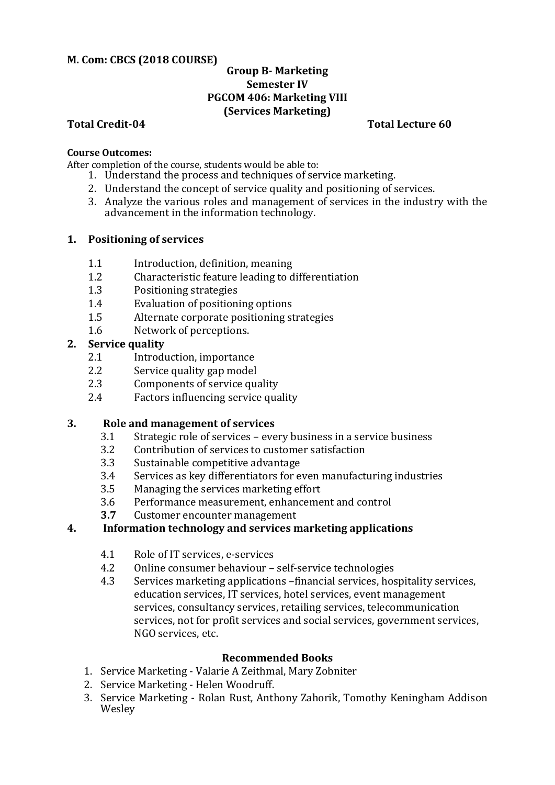### **M. Com: CBCS (2018 COURSE)**

## **Group B- Marketing Semester IV PGCOM 406: Marketing VIII (Services Marketing)**

#### **Total Credit-04 Total Lecture 60**

#### **Course Outcomes:**

After completion of the course, students would be able to:

- 1. Understand the process and techniques of service marketing.
- 2. Understand the concept of service quality and positioning of services.
- 3. Analyze the various roles and management of services in the industry with the advancement in the information technology.

#### **1. Positioning of services**

- 1.1 Introduction, definition, meaning
- 1.2 Characteristic feature leading to differentiation
- 1.3 Positioning strategies
- 1.4 Evaluation of positioning options
- 1.5 Alternate corporate positioning strategies
- 1.6 Network of perceptions.

### **2. Service quality**

- 2.1 Introduction, importance
- 2.2 Service quality gap model
- 2.3 Components of service quality
- 2.4 Factors influencing service quality

# **3. Role and management of services**

- 3.1 Strategic role of services every business in a service business
- 3.2 Contribution of services to customer satisfaction
- 3.3 Sustainable competitive advantage
- 3.4 Services as key differentiators for even manufacturing industries
- 3.5 Managing the services marketing effort
- 3.6 Performance measurement, enhancement and control
- **3.7** Customer encounter management

### **4. Information technology and services marketing applications**

- 4.1 Role of IT services, e-services
- 4.2 Online consumer behaviour self-service technologies
- 4.3 Services marketing applications –financial services, hospitality services, education services, IT services, hotel services, event management services, consultancy services, retailing services, telecommunication services, not for profit services and social services, government services, NGO services, etc.

- 1. Service Marketing Valarie A Zeithmal, Mary Zobniter
- 2. Service Marketing Helen Woodruff.
- 3. Service Marketing Rolan Rust, Anthony Zahorik, Tomothy Keningham Addison Wesley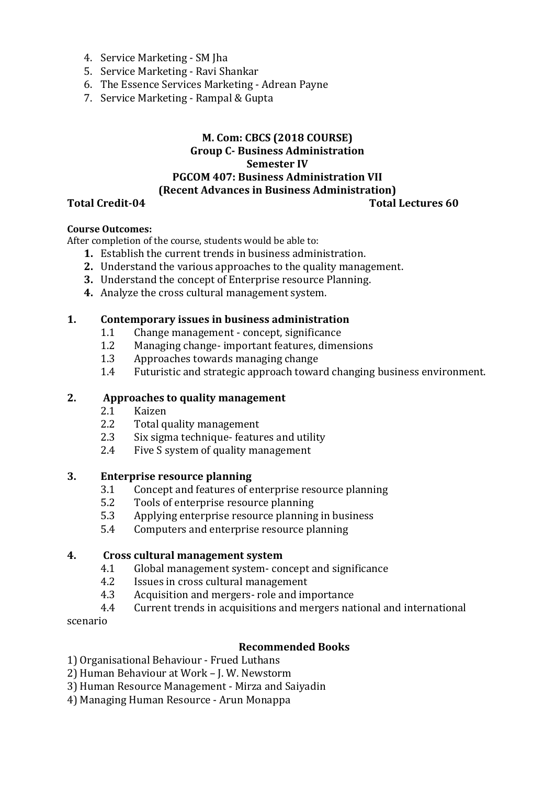- 4. Service Marketing SM Jha
- 5. Service Marketing Ravi Shankar
- 6. The Essence Services Marketing Adrean Payne
- 7. Service Marketing Rampal & Gupta

# **M. Com: CBCS (2018 COURSE) Group C- Business Administration Semester IV PGCOM 407: Business Administration VII (Recent Advances in Business Administration)**

### **Total Credit-04 Total Lectures 60**

## **Course Outcomes:**

After completion of the course, students would be able to:

- **1.** Establish the current trends in business administration.
- **2.** Understand the various approaches to the quality management.
- **3.** Understand the concept of Enterprise resource Planning.
- **4.** Analyze the cross cultural management system.

#### **1. Contemporary issues in business administration**

- 1.1 Change management concept, significance
- 1.2 Managing change- important features, dimensions
- 1.3 Approaches towards managing change
- 1.4 Futuristic and strategic approach toward changing business environment.

#### **2. Approaches to quality management**

- 2.1 Kaizen
- 2.2 Total quality management
- 2.3 Six sigma technique- features and utility
- 2.4 Five S system of quality management

#### **3. Enterprise resource planning**

- 3.1 Concept and features of enterprise resource planning
- 5.2 Tools of enterprise resource planning
- 5.3 Applying enterprise resource planning in business
- 5.4 Computers and enterprise resource planning

#### **4. Cross cultural management system**

- 4.1 Global management system- concept and significance
- 4.2 Issues in cross cultural management
- 4.3 Acquisition and mergers- role and importance
- 4.4 Current trends in acquisitions and mergers national and international

scenario

#### **Recommended Books**

1) Organisational Behaviour - Frued Luthans

- 2) Human Behaviour at Work J. W. Newstorm
- 3) Human Resource Management Mirza and Saiyadin
- 4) Managing Human Resource Arun Monappa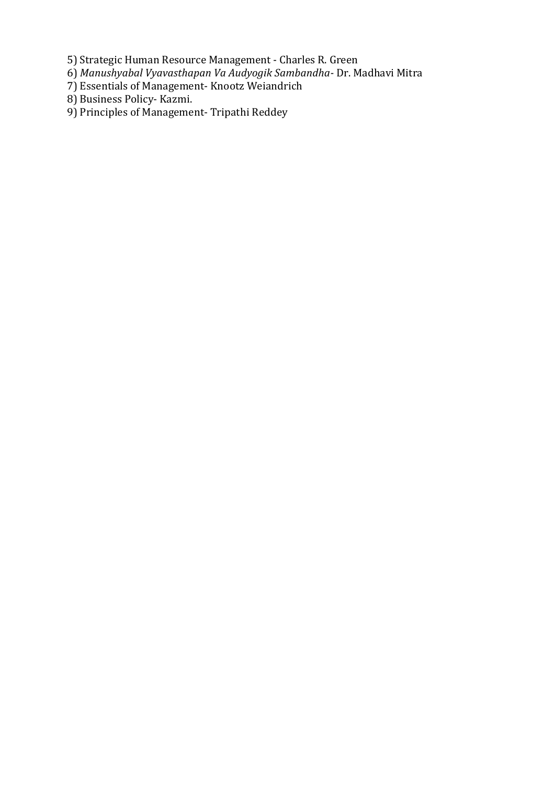5) Strategic Human Resource Management - Charles R. Green

- 6) *Manushyabal Vyavasthapan Va Audyogik Sambandha-* Dr. Madhavi Mitra
- 7) Essentials of Management- Knootz Weiandrich
- 8) Business Policy- Kazmi.
- 9) Principles of Management- Tripathi Reddey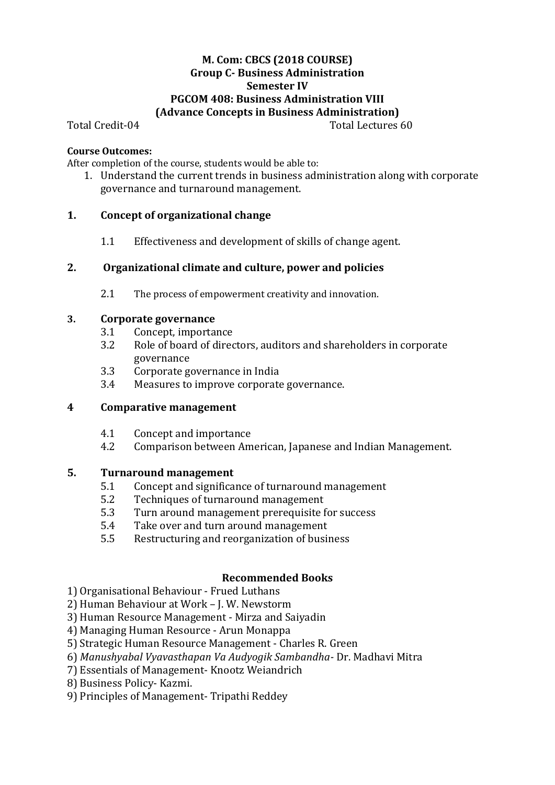## **M. Com: CBCS (2018 COURSE) Group C- Business Administration Semester IV PGCOM 408: Business Administration VIII (Advance Concepts in Business Administration)**

Total Credit-04 Total Lectures 60

#### **Course Outcomes:**

After completion of the course, students would be able to:

1. Understand the current trends in business administration along with corporate governance and turnaround management.

### **1. Concept of organizational change**

1.1 Effectiveness and development of skills of change agent.

### **2. Organizational climate and culture, power and policies**

2.1 The process of empowerment creativity and innovation.

#### **3. Corporate governance**

- 3.1 Concept, importance
- 3.2 Role of board of directors, auditors and shareholders in corporate governance
- 3.3 Corporate governance in India
- 3.4 Measures to improve corporate governance.

### **4 Comparative management**

- 4.1 Concept and importance
- 4.2 Comparison between American, Japanese and Indian Management.

### **5. Turnaround management**

- 5.1 Concept and significance of turnaround management
- 5.2 Techniques of turnaround management
- 5.3 Turn around management prerequisite for success
- 5.4 Take over and turn around management
- 5.5 Restructuring and reorganization of business

- 1) Organisational Behaviour Frued Luthans
- 2) Human Behaviour at Work J. W. Newstorm
- 3) Human Resource Management Mirza and Saiyadin
- 4) Managing Human Resource Arun Monappa
- 5) Strategic Human Resource Management Charles R. Green
- 6) *Manushyabal Vyavasthapan Va Audyogik Sambandha-* Dr. Madhavi Mitra
- 7) Essentials of Management- Knootz Weiandrich
- 8) Business Policy- Kazmi.
- 9) Principles of Management- Tripathi Reddey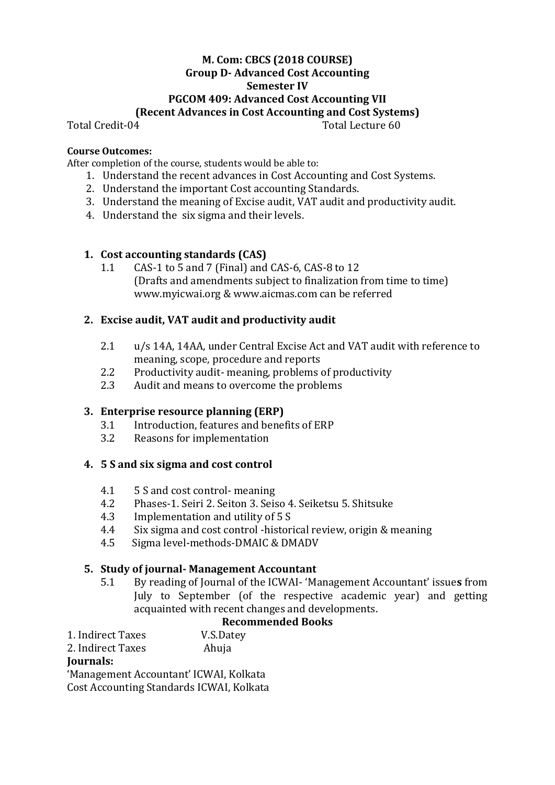# **M. Com: CBCS (2018 COURSE) Group D- Advanced Cost Accounting Semester IV PGCOM 409: Advanced Cost Accounting VII (Recent Advances in Cost Accounting and Cost Systems)**

Total Credit-04 Total Lecture 60

### **Course Outcomes:**

After completion of the course, students would be able to:

- 1. Understand the recent advances in Cost Accounting and Cost Systems.
- 2. Understand the important Cost accounting Standards.
- 3. Understand the meaning of Excise audit, VAT audit and productivity audit.
- 4. Understand the six sigma and their levels.

# **1. Cost accounting standards (CAS)**

1.1 CAS-1 to 5 and 7 (Final) and CAS-6, CAS-8 to 12 (Drafts and amendments subject to finalization from time to time) www.myicwai.org & www.aicmas.com can be referred

# **2. Excise audit, VAT audit and productivity audit**

- 2.1 u/s 14A, 14AA, under Central Excise Act and VAT audit with reference to meaning, scope, procedure and reports
- 2.2 Productivity audit- meaning, problems of productivity
- 2.3 Audit and means to overcome the problems

### **3. Enterprise resource planning (ERP)**

- 3.1 Introduction, features and benefits of ERP
- 3.2 Reasons for implementation

### **4. 5 S and six sigma and cost control**

- 4.1 5 S and cost control- meaning
- 4.2 Phases-1. Seiri 2. Seiton 3. Seiso 4. Seiketsu 5. Shitsuke
- 4.3 Implementation and utility of 5 S
- 4.4 Six sigma and cost control -historical review, origin & meaning
- 4.5 Sigma level-methods-DMAIC & DMADV

### **5. Study of journal- Management Accountant**

5.1 By reading of Journal of the ICWAI- 'Management Accountant' issue**s** from July to September (of the respective academic year) and getting acquainted with recent changes and developments.

# **Recommended Books**

- 1. Indirect Taxes V.S.Datey
- 2. Indirect Taxes Ahuja

# **Journals:**

'Management Accountant' ICWAI, Kolkata Cost Accounting Standards ICWAI, Kolkata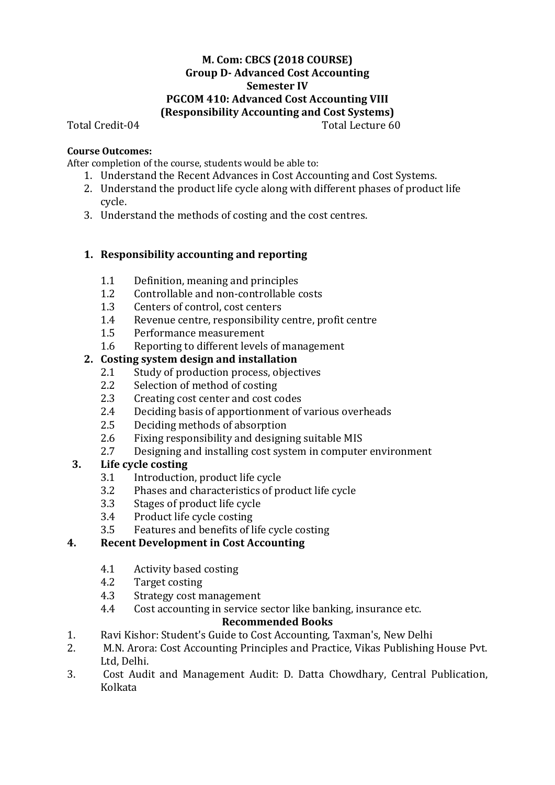## **M. Com: CBCS (2018 COURSE) Group D- Advanced Cost Accounting Semester IV PGCOM 410: Advanced Cost Accounting VIII (Responsibility Accounting and Cost Systems)**

Total Credit-04 Total Lecture 60

# **Course Outcomes:**

After completion of the course, students would be able to:

- 1. Understand the Recent Advances in Cost Accounting and Cost Systems.
- 2. Understand the product life cycle along with different phases of product life cycle.
- 3. Understand the methods of costing and the cost centres.

# **1. Responsibility accounting and reporting**

- 1.1 Definition, meaning and principles
- 1.2 Controllable and non-controllable costs
- 1.3 Centers of control, cost centers
- 1.4 Revenue centre, responsibility centre, profit centre
- 1.5 Performance measurement
- 1.6 Reporting to different levels of management

# **2. Costing system design and installation**

- 2.1 Study of production process, objectives
- 2.2 Selection of method of costing
- 2.3 Creating cost center and cost codes
- 2.4 Deciding basis of apportionment of various overheads
- 2.5 Deciding methods of absorption
- 2.6 Fixing responsibility and designing suitable MIS
- 2.7 Designing and installing cost system in computer environment

# **3. Life cycle costing**

- 3.1 Introduction, product life cycle
- 3.2 Phases and characteristics of product life cycle
- 3.3 Stages of product life cycle
- 3.4 Product life cycle costing
- 3.5 Features and benefits of life cycle costing

# **4. Recent Development in Cost Accounting**

- 4.1 Activity based costing
- 4.2 Target costing
- 4.3 Strategy cost management
- 4.4 Cost accounting in service sector like banking, insurance etc.

- 1. Ravi Kishor: Student's Guide to Cost Accounting, Taxman's, New Delhi
- 2. M.N. Arora: Cost Accounting Principles and Practice, Vikas Publishing House Pvt. Ltd, Delhi.
- 3. Cost Audit and Management Audit: D. Datta Chowdhary, Central Publication, Kolkata